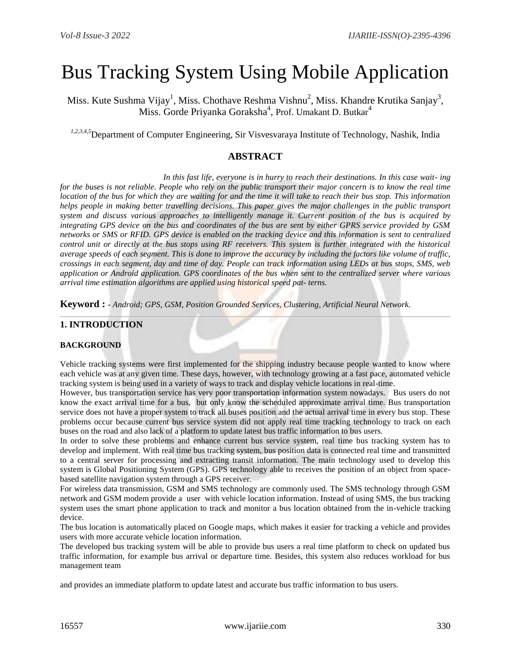# Bus Tracking System Using Mobile Application

Miss. Kute Sushma Vijay<sup>1</sup>, Miss. Chothave Reshma Vishnu<sup>2</sup>, Miss. Khandre Krutika Sanjay<sup>3</sup>, Miss. Gorde Priyanka Goraksha<sup>4</sup>, Prof. Umakant D. Butkar<sup>4</sup>

*1,2,3,4,5*Department of Computer Engineering, Sir Visvesvaraya Institute of Technology, Nashik, India

# **ABSTRACT**

 *In this fast life, everyone is in hurry to reach their destinations. In this case wait- ing for the buses is not reliable. People who rely on the public transport their major concern is to know the real time location of the bus for which they are waiting for and the time it will take to reach their bus stop. This information helps people in making better travelling decisions. This paper gives the major challenges in the public transport system and discuss various approaches to intelligently manage it. Current position of the bus is acquired by integrating GPS device on the bus and coordinates of the bus are sent by either GPRS service provided by GSM networks or SMS or RFID. GPS device is enabled on the tracking device and this information is sent to centralized control unit or directly at the bus stops using RF receivers. This system is further integrated with the historical average speeds of each segment. This is done to improve the accuracy by including the factors like volume of traffic, crossings in each segment, day and time of day. People can track information using LEDs at bus stops, SMS, web application or Android application. GPS coordinates of the bus when sent to the centralized server where various arrival time estimation algorithms are applied using historical speed pat- terns.*

**Keyword : -** *Android; GPS, GSM, Position Grounded Services, Clustering, Artificial Neural Network.*

## **1. INTRODUCTION**

#### **BACKGROUND**

Vehicle tracking systems were first implemented for the shipping industry because people wanted to know where each vehicle was at any given time. These days, however, with technology growing at a fast pace, automated vehicle tracking system is being used in a variety of ways to track and display vehicle locations in real-time.

However, bus transportation service has very poor transportation information system nowadays. Bus users do not know the exact arrival time for a bus, but only know the scheduled approximate arrival time. Bus transportation service does not have a proper system to track all buses position and the actual arrival time in every bus stop. These problems occur because current bus service system did not apply real time tracking technology to track on each buses on the road and also lack of a platform to update latest bus traffic information to bus users.

In order to solve these problems and enhance current bus service system, real time bus tracking system has to develop and implement. With real time bus tracking system, bus position data is connected real time and transmitted to a central server for processing and extracting transit information. The main technology used to develop this system is Global Positioning System (GPS). GPS technology able to receives the position of an object from spacebased satellite navigation system through a GPS receiver.

For wireless data transmission, GSM and SMS technology are commonly used. The SMS technology through GSM network and GSM modem provide a user with vehicle location information. Instead of using SMS, the bus tracking system uses the smart phone application to track and monitor a bus location obtained from the in-vehicle tracking device.

The bus location is automatically placed on Google maps, which makes it easier for tracking a vehicle and provides users with more accurate vehicle location information.

The developed bus tracking system will be able to provide bus users a real time platform to check on updated bus traffic information, for example bus arrival or departure time. Besides, this system also reduces workload for bus management team

and provides an immediate platform to update latest and accurate bus traffic information to bus users.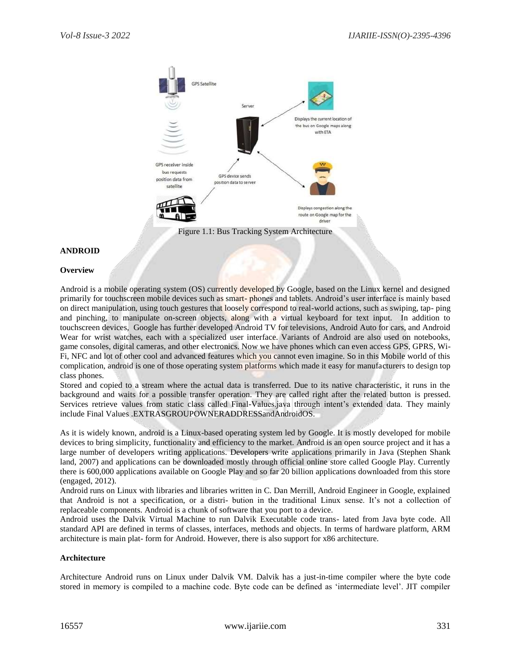

#### **ANDROID**

#### **Overview**

Android is a mobile operating system (OS) currently developed by Google, based on the Linux kernel and designed primarily for touchscreen mobile devices such as smart- phones and tablets. Android's user interface is mainly based on direct manipulation, using touch gestures that loosely correspond to real-world actions, such as swiping, tap- ping and pinching, to manipulate on-screen objects, along with a virtual keyboard for text input. In addition to touchscreen devices, Google has further developed Android TV for televisions, Android Auto for cars, and Android Wear for wrist watches, each with a specialized user interface. Variants of Android are also used on notebooks, game consoles, digital cameras, and other electronics. Now we have phones which can even access GPS, GPRS, Wi-Fi, NFC and lot of other cool and advanced features which you cannot even imagine. So in this Mobile world of this complication, android is one of those operating system platforms which made it easy for manufacturers to design top class phones.

Stored and copied to a stream where the actual data is transferred. Due to its native characteristic, it runs in the background and waits for a possible transfer operation. They are called right after the related button is pressed. Services retrieve values from static class called Final-Values.java through intent's extended data. They mainly include Final Values .EXTRASGROUPOWNERADDRESSandAndroidOS.

As it is widely known, android is a Linux-based operating system led by Google. It is mostly developed for mobile devices to bring simplicity, functionality and efficiency to the market. Android is an open source project and it has a large number of developers writing applications. Developers write applications primarily in Java (Stephen Shank land, 2007) and applications can be downloaded mostly through official online store called Google Play. Currently there is 600,000 applications available on Google Play and so far 20 billion applications downloaded from this store (engaged, 2012).

Android runs on Linux with libraries and libraries written in C. Dan Merrill, Android Engineer in Google, explained that Android is not a specification, or a distri- bution in the traditional Linux sense. It's not a collection of replaceable components. Android is a chunk of software that you port to a device.

Android uses the Dalvik Virtual Machine to run Dalvik Executable code trans- lated from Java byte code. All standard API are defined in terms of classes, interfaces, methods and objects. In terms of hardware platform, ARM architecture is main plat- form for Android. However, there is also support for x86 architecture.

#### **Architecture**

Architecture Android runs on Linux under Dalvik VM. Dalvik has a just-in-time compiler where the byte code stored in memory is compiled to a machine code. Byte code can be defined as 'intermediate level'. JIT compiler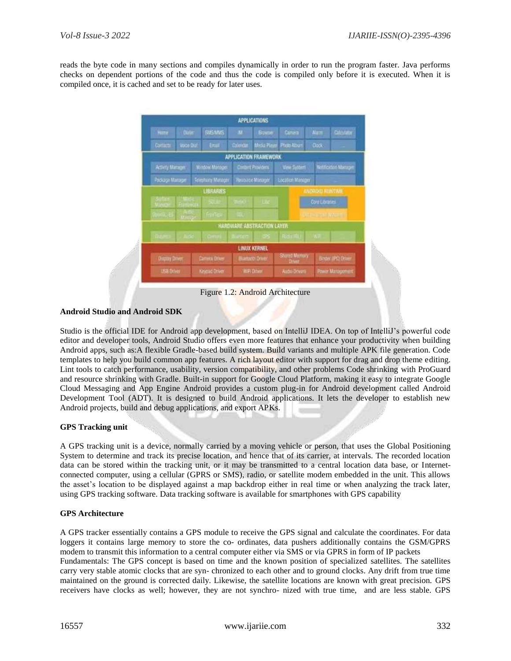reads the byte code in many sections and compiles dynamically in order to run the program faster. Java performs checks on dependent portions of the code and thus the code is compiled only before it is executed. When it is compiled once, it is cached and set to be ready for later uses.



Figure 1.2: Android Architecture

#### **Android Studio and Android SDK**

Studio is the official IDE for Android app development, based on IntelliJ IDEA. On top of IntelliJ's powerful code editor and developer tools, Android Studio offers even more features that enhance your productivity when building Android apps, such as:A flexible Gradle-based build system. Build variants and multiple APK file generation. Code templates to help you build common app features. A rich layout editor with support for drag and drop theme editing. Lint tools to catch performance, usability, version compatibility, and other problems Code shrinking with ProGuard and resource shrinking with Gradle. Built-in support for Google Cloud Platform, making it easy to integrate Google Cloud Messaging and App Engine Android provides a custom plug-in for Android development called Android Development Tool (ADT). It is designed to build Android applications. It lets the developer to establish new Android projects, build and debug applications, and export APKs.

#### **GPS Tracking unit**

A GPS tracking unit is a device, normally carried by a moving vehicle or person, that uses the Global Positioning System to determine and track its precise location, and hence that of its carrier, at intervals. The recorded location data can be stored within the tracking unit, or it may be transmitted to a central location data base, or Internetconnected computer, using a cellular (GPRS or SMS), radio, or satellite modem embedded in the unit. This allows the asset's location to be displayed against a map backdrop either in real time or when analyzing the track later, using GPS tracking software. Data tracking software is available for smartphones with GPS capability

#### **GPS Architecture**

A GPS tracker essentially contains a GPS module to receive the GPS signal and calculate the coordinates. For data loggers it contains large memory to store the co- ordinates, data pushers additionally contains the GSM/GPRS modem to transmit this information to a central computer either via SMS or via GPRS in form of IP packets Fundamentals: The GPS concept is based on time and the known position of specialized satellites. The satellites carry very stable atomic clocks that are syn- chronized to each other and to ground clocks. Any drift from true time maintained on the ground is corrected daily. Likewise, the satellite locations are known with great precision. GPS receivers have clocks as well; however, they are not synchro- nized with true time, and are less stable. GPS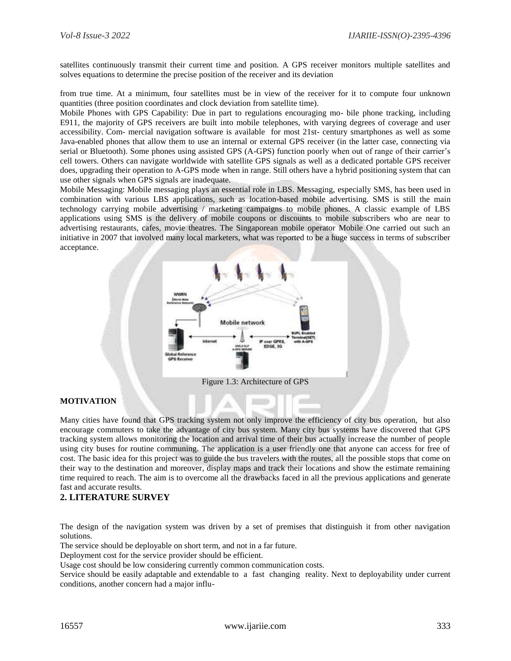satellites continuously transmit their current time and position. A GPS receiver monitors multiple satellites and solves equations to determine the precise position of the receiver and its deviation

from true time. At a minimum, four satellites must be in view of the receiver for it to compute four unknown quantities (three position coordinates and clock deviation from satellite time).

Mobile Phones with GPS Capability: Due in part to regulations encouraging mo- bile phone tracking, including E911, the majority of GPS receivers are built into mobile telephones, with varying degrees of coverage and user accessibility. Com- mercial navigation software is available for most 21st- century smartphones as well as some Java-enabled phones that allow them to use an internal or external GPS receiver (in the latter case, connecting via serial or Bluetooth). Some phones using assisted GPS (A-GPS) function poorly when out of range of their carrier's cell towers. Others can navigate worldwide with satellite GPS signals as well as a dedicated portable GPS receiver does, upgrading their operation to A-GPS mode when in range. Still others have a hybrid positioning system that can use other signals when GPS signals are inadequate.

Mobile Messaging: Mobile messaging plays an essential role in LBS. Messaging, especially SMS, has been used in combination with various LBS applications, such as location-based mobile advertising. SMS is still the main technology carrying mobile advertising / marketing campaigns to mobile phones. A classic example of LBS applications using SMS is the delivery of mobile coupons or discounts to mobile subscribers who are near to advertising restaurants, cafes, movie theatres. The Singaporean mobile operator Mobile One carried out such an initiative in 2007 that involved many local marketers, what was reported to be a huge success in terms of subscriber acceptance.



# **MOTIVATION**

Many cities have found that GPS tracking system not only improve the efficiency of city bus operation, but also encourage commuters to take the advantage of city bus system. Many city bus systems have discovered that GPS tracking system allows monitoring the location and arrival time of their bus actually increase the number of people using city buses for routine communing. The application is a user friendly one that anyone can access for free of cost. The basic idea for this project was to guide the bus travelers with the routes, all the possible stops that come on their way to the destination and moreover, display maps and track their locations and show the estimate remaining time required to reach. The aim is to overcome all the drawbacks faced in all the previous applications and generate fast and accurate results.

# **2. LITERATURE SURVEY**

The design of the navigation system was driven by a set of premises that distinguish it from other navigation solutions.

The service should be deployable on short term, and not in a far future.

Deployment cost for the service provider should be efficient.

Usage cost should be low considering currently common communication costs.

Service should be easily adaptable and extendable to a fast changing reality. Next to deployability under current conditions, another concern had a major influ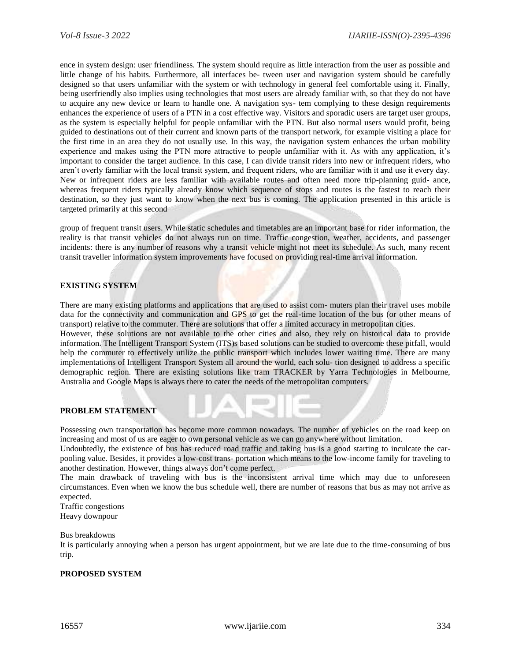ence in system design: user friendliness. The system should require as little interaction from the user as possible and little change of his habits. Furthermore, all interfaces be- tween user and navigation system should be carefully designed so that users unfamiliar with the system or with technology in general feel comfortable using it. Finally, being userfriendly also implies using technologies that most users are already familiar with, so that they do not have to acquire any new device or learn to handle one. A navigation sys- tem complying to these design requirements enhances the experience of users of a PTN in a cost effective way. Visitors and sporadic users are target user groups, as the system is especially helpful for people unfamiliar with the PTN. But also normal users would profit, being guided to destinations out of their current and known parts of the transport network, for example visiting a place for the first time in an area they do not usually use. In this way, the navigation system enhances the urban mobility experience and makes using the PTN more attractive to people unfamiliar with it. As with any application, it's important to consider the target audience. In this case, I can divide transit riders into new or infrequent riders, who aren't overly familiar with the local transit system, and frequent riders, who are familiar with it and use it every day. New or infrequent riders are less familiar with available routes and often need more trip-planning guid- ance, whereas frequent riders typically already know which sequence of stops and routes is the fastest to reach their destination, so they just want to know when the next bus is coming. The application presented in this article is targeted primarily at this second

group of frequent transit users. While static schedules and timetables are an important base for rider information, the reality is that transit vehicles do not always run on time. Traffic congestion, weather, accidents, and passenger incidents: there is any number of reasons why a transit vehicle might not meet its schedule. As such, many recent transit traveller information system improvements have focused on providing real-time arrival information.

#### **EXISTING SYSTEM**

There are many existing platforms and applications that are used to assist com- muters plan their travel uses mobile data for the connectivity and communication and GPS to get the real-time location of the bus (or other means of transport) relative to the commuter. There are solutions that offer a limited accuracy in metropolitan cities.

However, these solutions are not available to the other cities and also, they rely on historical data to provide information. The Intelligent Transport System (ITS)s based solutions can be studied to overcome these pitfall, would help the commuter to effectively utilize the public transport which includes lower waiting time. There are many implementations of Intelligent Transport System all around the world, each solu- tion designed to address a specific demographic region. There are existing solutions like tram TRACKER by Yarra Technologies in Melbourne, Australia and Google Maps is always there to cater the needs of the metropolitan computers.

#### **PROBLEM STATEMENT**

Possessing own transportation has become more common nowadays. The number of vehicles on the road keep on increasing and most of us are eager to own personal vehicle as we can go anywhere without limitation.

Undoubtedly, the existence of bus has reduced road traffic and taking bus is a good starting to inculcate the carpooling value. Besides, it provides a low-cost trans- portation which means to the low-income family for traveling to another destination. However, things always don't come perfect.

The main drawback of traveling with bus is the inconsistent arrival time which may due to unforeseen circumstances. Even when we know the bus schedule well, there are number of reasons that bus as may not arrive as expected.

Traffic congestions Heavy downpour

Bus breakdowns

It is particularly annoying when a person has urgent appointment, but we are late due to the time-consuming of bus trip.

#### **PROPOSED SYSTEM**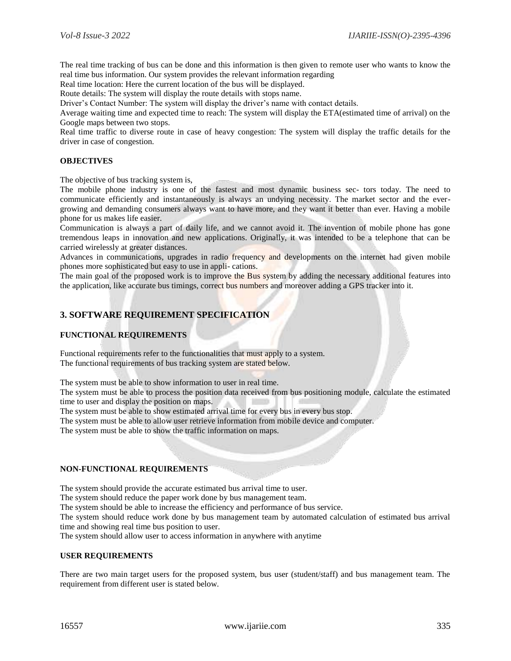The real time tracking of bus can be done and this information is then given to remote user who wants to know the real time bus information. Our system provides the relevant information regarding

Real time location: Here the current location of the bus will be displayed.

Route details: The system will display the route details with stops name.

Driver's Contact Number: The system will display the driver's name with contact details.

Average waiting time and expected time to reach: The system will display the ETA(estimated time of arrival) on the Google maps between two stops.

Real time traffic to diverse route in case of heavy congestion: The system will display the traffic details for the driver in case of congestion.

#### **OBJECTIVES**

The objective of bus tracking system is,

The mobile phone industry is one of the fastest and most dynamic business sec- tors today. The need to communicate efficiently and instantaneously is always an undying necessity. The market sector and the evergrowing and demanding consumers always want to have more, and they want it better than ever. Having a mobile phone for us makes life easier.

Communication is always a part of daily life, and we cannot avoid it. The invention of mobile phone has gone tremendous leaps in innovation and new applications. Originally, it was intended to be a telephone that can be carried wirelessly at greater distances.

Advances in communications, upgrades in radio frequency and developments on the internet had given mobile phones more sophisticated but easy to use in appli- cations.

The main goal of the proposed work is to improve the Bus system by adding the necessary additional features into the application, like accurate bus timings, correct bus numbers and moreover adding a GPS tracker into it.

# **3. SOFTWARE REQUIREMENT SPECIFICATION**

#### **FUNCTIONAL REQUIREMENTS**

Functional requirements refer to the functionalities that must apply to a system. The functional requirements of bus tracking system are stated below.

The system must be able to show information to user in real time.

The system must be able to process the position data received from bus positioning module, calculate the estimated time to user and display the position on maps.

The system must be able to show estimated arrival time for every bus in every bus stop.

The system must be able to allow user retrieve information from mobile device and computer.

The system must be able to show the traffic information on maps.

#### **NON-FUNCTIONAL REQUIREMENTS**

The system should provide the accurate estimated bus arrival time to user.

The system should reduce the paper work done by bus management team.

The system should be able to increase the efficiency and performance of bus service.

The system should reduce work done by bus management team by automated calculation of estimated bus arrival time and showing real time bus position to user.

The system should allow user to access information in anywhere with anytime

#### **USER REQUIREMENTS**

There are two main target users for the proposed system, bus user (student/staff) and bus management team. The requirement from different user is stated below.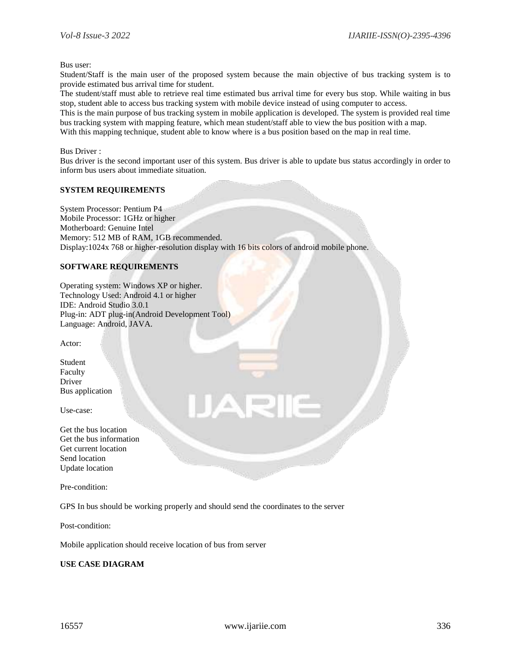Bus user:

Student/Staff is the main user of the proposed system because the main objective of bus tracking system is to provide estimated bus arrival time for student.

The student/staff must able to retrieve real time estimated bus arrival time for every bus stop. While waiting in bus stop, student able to access bus tracking system with mobile device instead of using computer to access.

This is the main purpose of bus tracking system in mobile application is developed. The system is provided real time bus tracking system with mapping feature, which mean student/staff able to view the bus position with a map. With this mapping technique, student able to know where is a bus position based on the map in real time.

Bus Driver :

Bus driver is the second important user of this system. Bus driver is able to update bus status accordingly in order to inform bus users about immediate situation.

#### **SYSTEM REQUIREMENTS**

System Processor: Pentium P4 Mobile Processor: 1GHz or higher Motherboard: Genuine Intel Memory: 512 MB of RAM, 1GB recommended. Display:1024x 768 or higher-resolution display with 16 bits colors of android mobile phone.

#### **SOFTWARE REQUIREMENTS**

Operating system: Windows XP or higher. Technology Used: Android 4.1 or higher IDE: Android Studio 3.0.1 Plug-in: ADT plug-in(Android Development Tool) Language: Android, JAVA.

Actor:

Student Faculty Driver Bus application

Use-case:

Get the bus location Get the bus information Get current location Send location Update location

Pre-condition:

GPS In bus should be working properly and should send the coordinates to the server

Post-condition:

Mobile application should receive location of bus from server

#### **USE CASE DIAGRAM**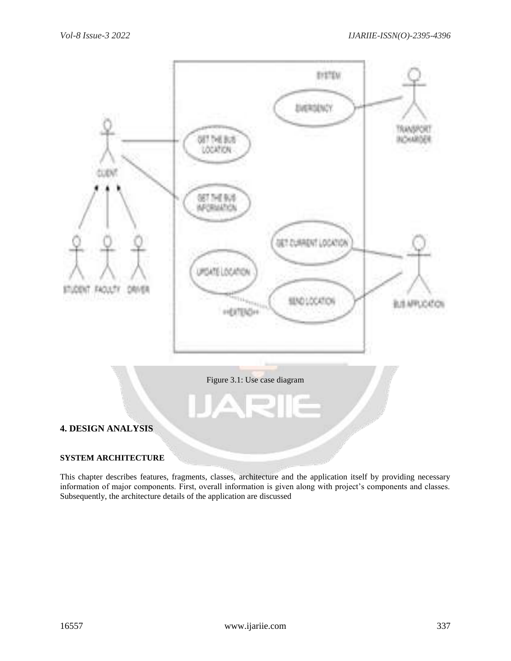

This chapter describes features, fragments, classes, architecture and the application itself by providing necessary information of major components. First, overall information is given along with project's components and classes. Subsequently, the architecture details of the application are discussed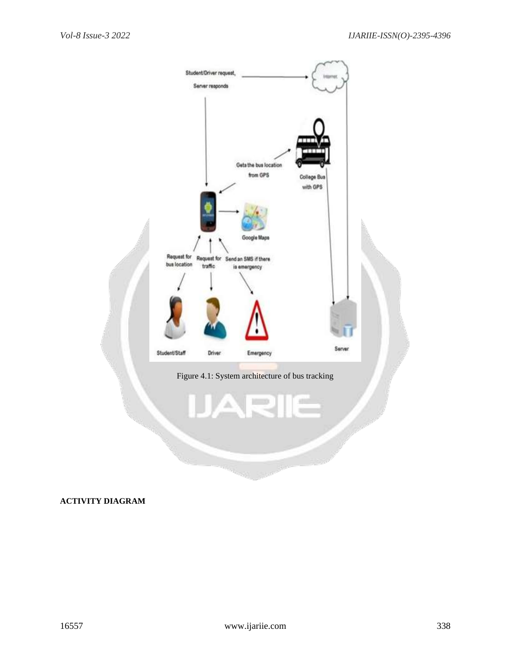

# **ACTIVITY DIAGRAM**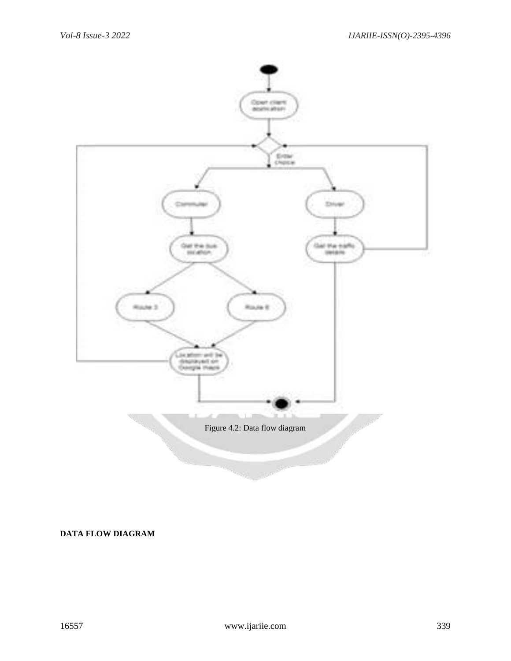

# **DATA FLOW DIAGRAM**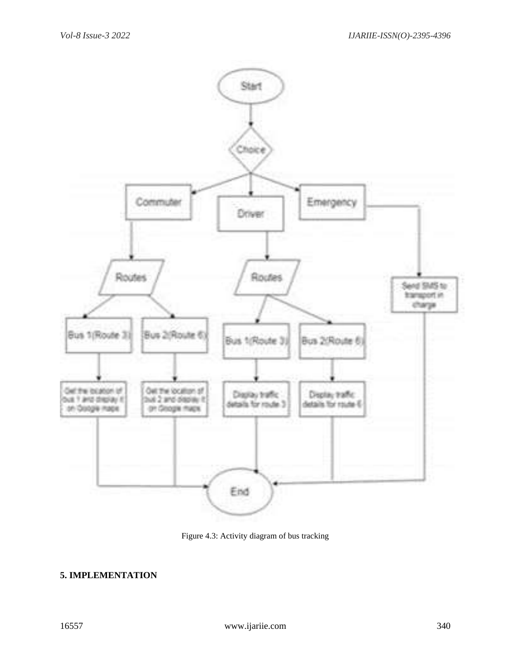

Figure 4.3: Activity diagram of bus tracking

# **5. IMPLEMENTATION**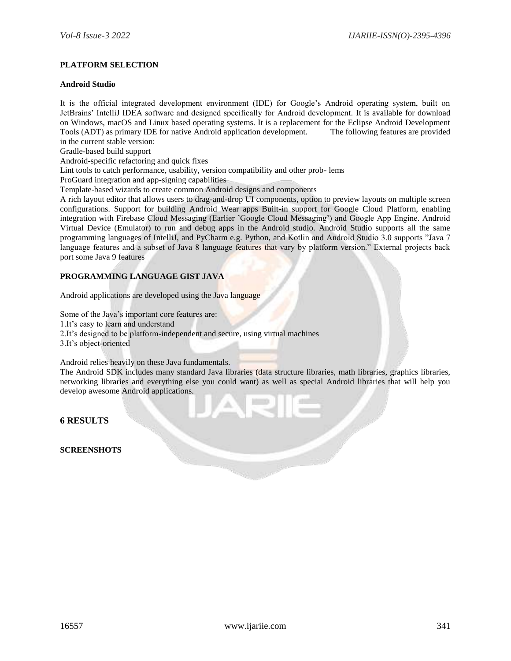# **PLATFORM SELECTION**

#### **Android Studio**

It is the official integrated development environment (IDE) for Google's Android operating system, built on JetBrains' IntelliJ IDEA software and designed specifically for Android development. It is available for download on Windows, macOS and Linux based operating systems. It is a replacement for the Eclipse Android Development Tools (ADT) as primary IDE for native Android application development. The following features are provided in the current stable version:

Gradle-based build support

Android-specific refactoring and quick fixes

Lint tools to catch performance, usability, version compatibility and other prob- lems

ProGuard integration and app-signing capabilities

Template-based wizards to create common Android designs and components

A rich layout editor that allows users to drag-and-drop UI components, option to preview layouts on multiple screen configurations. Support for building Android Wear apps Built-in support for Google Cloud Platform, enabling integration with Firebase Cloud Messaging (Earlier 'Google Cloud Messaging') and Google App Engine. Android Virtual Device (Emulator) to run and debug apps in the Android studio. Android Studio supports all the same programming languages of IntelliJ, and PyCharm e.g. Python, and Kotlin and Android Studio 3.0 supports "Java 7 language features and a subset of Java 8 language features that vary by platform version." External projects back port some Java 9 features

## **PROGRAMMING LANGUAGE GIST JAVA**

Android applications are developed using the Java language

Some of the Java's important core features are: 1.It's easy to learn and understand 2.It's designed to be platform-independent and secure, using virtual machines 3.It's object-oriented

Android relies heavily on these Java fundamentals.

The Android SDK includes many standard Java libraries (data structure libraries, math libraries, graphics libraries, networking libraries and everything else you could want) as well as special Android libraries that will help you develop awesome Android applications.

**6 RESULTS**

**SCREENSHOTS**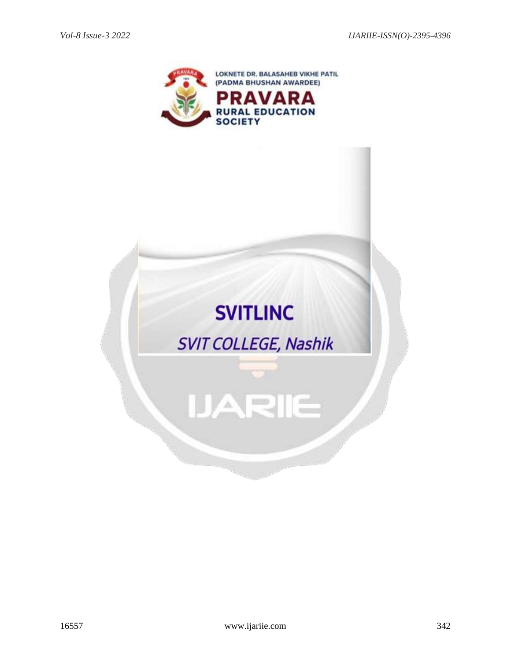

# **SVITLINC**

# SVIT COLLEGE, Nashik

IJARIIE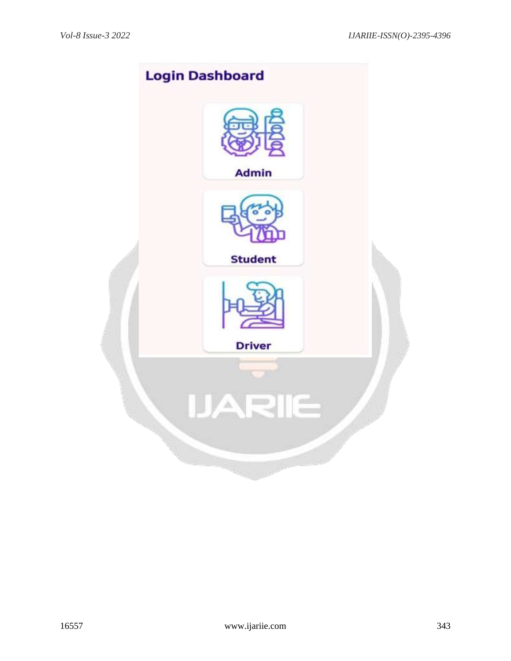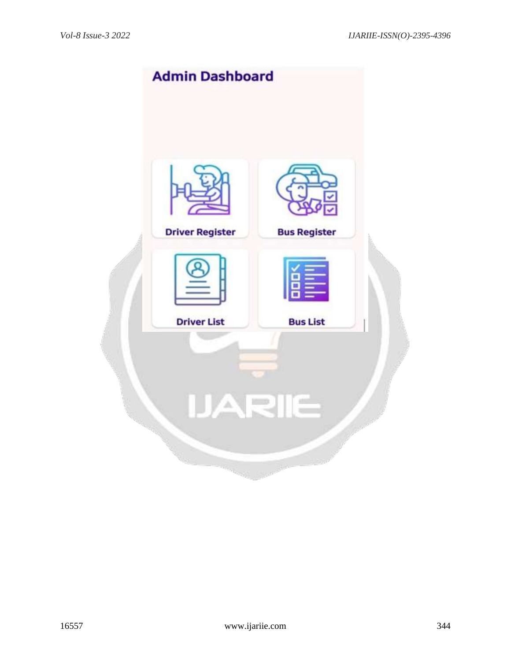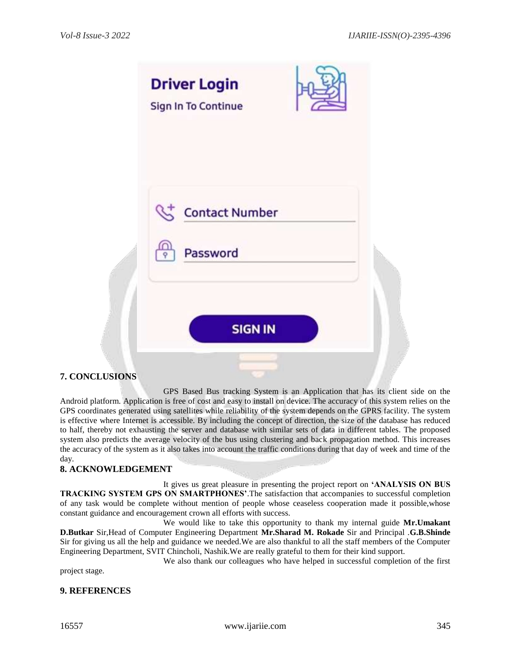

# **7. CONCLUSIONS**

 GPS Based Bus tracking System is an Application that has its client side on the Android platform. Application is free of cost and easy to install on device. The accuracy of this system relies on the GPS coordinates generated using satellites while reliability of the system depends on the GPRS facility. The system is effective where Internet is accessible. By including the concept of direction, the size of the database has reduced to half, thereby not exhausting the server and database with similar sets of data in different tables. The proposed system also predicts the average velocity of the bus using clustering and back propagation method. This increases the accuracy of the system as it also takes into account the traffic conditions during that day of week and time of the day.

## **8. ACKNOWLEDGEMENT**

 It gives us great pleasure in presenting the project report on **'ANALYSIS ON BUS TRACKING SYSTEM GPS ON SMARTPHONES'**.The satisfaction that accompanies to successful completion of any task would be complete without mention of people whose ceaseless cooperation made it possible,whose constant guidance and encouragement crown all efforts with success.

 We would like to take this opportunity to thank my internal guide **Mr.Umakant D.Butkar** Sir,Head of Computer Engineering Department **Mr.Sharad M. Rokade** Sir and Principal .**G.B.Shinde** Sir for giving us all the help and guidance we needed.We are also thankful to all the staff members of the Computer Engineering Department, SVIT Chincholi, Nashik.We are really grateful to them for their kind support.

 We also thank our colleagues who have helped in successful completion of the first project stage.

#### **9. REFERENCES**